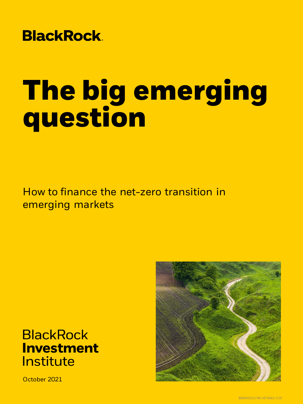# **BlackRock.**

# **The big emerging question**

How to finance the net-zero transition in emerging markets

## **BlackRock Investment** Institute

October 2021

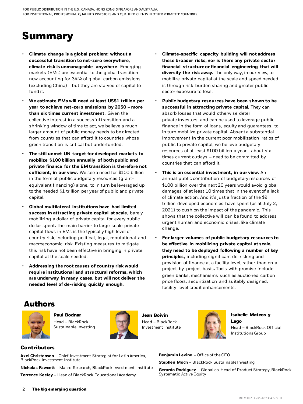### **Summary**

- **Climate change is a global problem: without a successful transition to net-zero everywhere, climate risk is unmanageable anywhere**. Emerging markets (EMs) are essential to the global transition – now accounting for 34% of global carbon emissions (excluding China) – but they are starved of capital to fund it.
- **We estimate EMs will need at least US\$1 trillion per year to achieve net-zero emissions by 2050 – more than six times current investment**. Given the collective interest in a successful transition and a shrinking window of time to act, we believe a much larger amount of public money needs to be directed from countries that can afford it to countries whose green transition is critical but underfunded.
- **The still unmet UN target for developed markets to mobilize \$100 billion annually of both public and private finance for the EM transition is therefore not sufficient, in our view.** We see a need for \$100 billion in the form of public budgetary resources (grantequivalent financing) alone, to in turn be leveraged up to the needed \$1 trillion per year of public and private capital.
- **Global multilateral institutions have had limited success in attracting private capital at scale**, barely mobilizing a dollar of private capital for every public dollar spent**.** The main barrier to large-scale private capital flows in EMs is the typically high level of country risk, including political, legal, reputational and macroeconomic risk. Existing measures to mitigate this risk have not been effective in bringing in private capital at the scale needed.
- **Addressing the root causes of country risk would require institutional and structural reforms, which are underway in many cases, but will not deliver the needed level of de-risking quickly enough.**
- **Climate-specific capacity building will not address these broader risks, nor is there any private sector financial structure or financial engineering that will diversify the risk away.** The only way, in our view, to mobilize private capital at the scale and speed needed is through risk-burden sharing and greater public sector exposure to loss.
- **Public budgetary resources have been shown to be successful in attracting private capital.** They can absorb losses that would otherwise deter private investors, and can be used to leverage public finance in the form of loans, equity and guarantees, to in turn mobilize private capital. Absent a substantial improvement in the current poor mobilization ratios of public to private capital, we believe budgetary resources of at least \$100 billion a year – about six times current outlays – need to be committed by countries that can afford it.
- **This is an essential investment, in our view.** An annual public contribution of budgetary resources of \$100 billion over the next 20 years would avoid global damages of at least 10 times that in the event of a lack of climate action. And it's just a fraction of the \$9 trillion developed economies have spent (as at July 2, 2021) to cushion the impact of the pandemic. This shows that the collective will can be found to address urgent human and economic crises, like climate change.
- **For larger volumes of public budgetary resources to be effective in mobilizing private capital at scale, they need to be deployed following a number of key principles,** including significant de-risking and provision of finance at a facility level, rather than on a project-by-project basis**.** Tools with promise include green banks, mechanisms such as auctioned carbon price floors, securitization and suitably designed, facility-level credit enhancements.

#### **Authors**



**Paul Bodnar** Head – BlackRock Sustainable Investing



**Jean Boivin** Head – BlackRock Investment Institute



**Isabelle Mateos y Lago**

Head – BlackRock Official Institutions Group

#### **Contributors**

**Axel Christensen** – Chief Investment Strategist for Latin America, BlackRock Investment Institute

**Nicholas Fawcett** – Macro Research, BlackRock Investment Institute **Terrence Keeley** – Head of BlackRock Educational Academy

**Benjamin Levine** – Office of the CEO

**Stephen Moch** – BlackRock Sustainable Investing

**Gerardo Rodriguez** – Global co-Head of Product Strategy, BlackRock Systematic Active Equity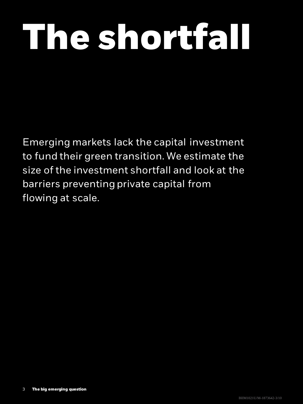# **The shortfall**

Emerging markets lack the capital investment to fund their green transition. We estimate the size of the investment shortfall and look at the barriers preventing private capital from flowing at scale.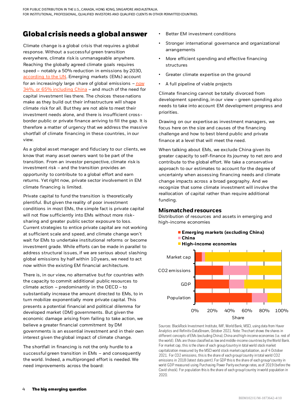#### **Global crisis needs a global answer**

Climate change is a global crisis that requires a global response. Without a successful green transition everywhere, climate risk is unmanageable anywhere. Reaching the globally agreed climate goals requires speed – notably a 50% reduction in emissions by 2030, [according to the UN.](https://unfccc.int/climate-action/race-to-zero-campaign#eq-3) Emerging markets (EMs) account [for an increasingly large share of global emissions](https://databank.worldbank.org/reports.aspx?source=2&Topic=19)  $-\frac{now}{.}$ 34%, or 65% including China – and much of the need for capital investment lies there. The choices these nations make as they build out their infrastructure will shape climate risk for all. But they are not able to meet their investment needs alone, and there is insufficient crossborder public or private finance arriving to fill the gap. It is therefore a matter of urgency that we address the massive shortfall of climate financing in these countries, in our view.

As a global asset manager and fiduciary to our clients, we know that many asset owners want to be part of the transition. From an investor perspective, climate risk is investment risk – and the transition provides an opportunity to contribute to a global effort and earn returns. Yet right now, private sector involvement in EM climate financing is limited.

Private capital to fund the transition is theoretically plentiful. But given the reality of poor investment conditions in most EMs, the simple fact is private capital will not flow sufficiently into EMs without more risksharing and greater public sector exposure to loss. Current strategies to entice private capital are not working at sufficient scale and speed, and climate change won't wait for EMs to undertake institutional reforms or become investment grade. While efforts can be made in parallel to address structural issues, if we are serious about slashing global emissions by half within 10 years, we need to act now within the existing EM financial architecture.

There is, in our view, no alternative but for countries with the capacity to commit additional public resources to climate action – predominantly in the OECD – to substantially increase the amount directed to EMs, to in turn mobilize exponentially more private capital. This presents a potential financial and political dilemma for developed market (DM) governments. But given the economic damage arising from failing to take action, we believe a greater financial commitment by DM governments is an essential investment and in their own interest given the global impact of climate change.

The shortfall in financing is not the only hurdle to a successful green transition in EMs – and consequently the world. Indeed, a multipronged effort is needed. We need improvements across the board:

- Better EM investment conditions
- Stronger international governance and organizational arrangements
- More efficient spending and effective financing structures
- Greater climate expertise on the ground
- A full pipeline of viable projects

Climate financing cannot be totally divorced from development spending, in our view – green spending also needs to take into account EM development progress and priorities.

Drawing on our expertise as investment managers, we focus here on the size and causes of the financing challenge and how to best blend public and private finance at a level that will meet the need.

When talking about EMs, we exclude China given its greater capacity to self-finance its journey to net zero and contribute to the global effort. We take a conservative approach to our estimates to account for the degree of uncertainty when assessing financing needs and climate change impacts across a broad geography. And we recognize that some climate investment will involve the reallocation of capital rather than require additional funding.

#### **Mismatched resources**

Distribution of resources and assets in emerging and high-income economies



Sources: BlackRock Investment Institute, IMF, World Bank, MSCI, using data from Haver Analytics and Refinitiv DataStream, October 2021. Note: The chart shows the shares in different concepts of EMs (excluding China), China and high-income economies (i.e. rest of the world). EMs are those classified as low and middle-income countries by the World Bank. For market cap, this is the share of each group/country in total world stock market capitalization measured by the MSCI world stock market capitalization, as of 4 October 2021. For CO2 emissions, this is the share of each group/country in total world CO2 emissions in 2018 (latest data point). For GDP this is the share of each group/country in world GDP measured using Purchasing Power Parity exchange rates, as of 2019 (before the Covid shock). For population this is the share of each group/country in world population in 2020.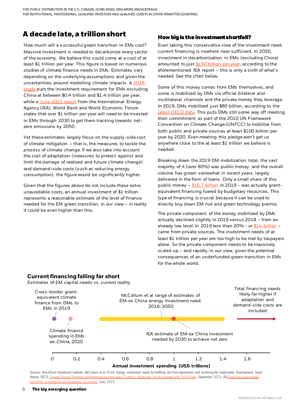FOR PUBLIC DISTRIBUTION IN THE U.S., CANADA, HONG KONG, SINGAPORE ANDAUSTRALIA. FOR INSTITUTIONAL, PROFESSIONAL, QUALIFIED INVESTORS AND QUALIFIED CLIENTS IN OTHER PERMITTEDCOUNTRIES.

#### **A decade late, a trillion short**

How much will a successful green transition in EMs cost? Massive investment is needed to decarbonize every sector of the economy. We believe this could come at a cost of at least \$1 trillion per year. This figure is based on numerous studies of climate finance needs in EMs. Estimates vary depending on the underlying assumptions and given the [uncertainties around modelling climate impacts. A 2018](https://www.nature.com/articles/s41560-018-0179-z) study puts the investment requirement for EMs excluding China at between \$0.4 trillion and \$1.4 trillion per year, while a [June 2021 report](https://www.iea.org/news/it-s-time-to-make-clean-energy-investment-in-emerging-and-developing-economies-a-top-global-priority) from the International Energy Agency (IEA), World Bank and World Economic Forum states that over \$1 trillion per year will need to be invested in EMs through 2030 to get them tracking towards netzero emissions by 2050.

Yet these estimates largely focus on the supply-side cost of climate mitigation – that is, the measures to tackle the *process* of climate change. If we also take into account the cost of adaptation (measures to protect against and limit the *damage* of realized and future climate change) and demand-side costs (such as reducing energy consumption), the figure would be significantly higher.

Given that the figures above do not include these extra unavoidable costs, an annual investment of \$1 trillion represents a reasonable estimate of the level of finance needed for the EM green transition, in our view – in reality it could be even higher than this.

#### **How big is the investment shortfall?**

Even taking this conservative view of the investment need, current financing is nowhere near sufficient. In 2020, investment in decarbonization in EMs (excluding China) amounted to just [\\$150 billion per year,](https://iea.blob.core.windows.net/assets/6756ccd2-0772-4ffd-85e4-b73428ff9c72/FinancingCleanEnergyTransitionsinEMDEs_WorldEnergyInvestment2021SpecialReport.pdf) according to the aforementioned IEA report – this is only a sixth of what's needed. See the chart below.

Some of this money comes from EMs themselves, and some is mobilized by DMs via official bilateral and multilateral channels and the private money they leverage. In 2019, DMs mobilized just \$80 billion, according to the [latest OECD data.](https://www.oecd.org/env/climate-finance-provided-and-mobilised-by-developed-countries-aggregate-trends-updated-with-2019-data-03590fb7-en.htm) This puts DMs still some way off meeting their commitment as part of the 2010 UN Framework Convention on Climate Change (UNFCC) to mobilize from both public and private sources at least \$100 billion per year by 2020. Even meeting this pledge won't get us anywhere close to the at least \$1 trillion we believe is needed.

Breaking down the 2019 DM mobilization total, the vast majority of it (over 80%) was public money, and the overall volume has grown somewhat in recent years, largely delivered in the form of loans. Only a small share of this public money - [\\$16.7 billion](https://www.oecd-ilibrary.org/sites/03590fb7-en/1/3/1/index.html?itemId=/content/publication/03590fb7-en&_csp_=b6cad02d0eb457a81fa094a9ec2d21cc&itemIGO=oecd&itemContentType=book#section-d1e898) in 2019 - was actually grantequivalent financing fueled by budgetary resources. This type of financing is crucial because it can be used to directly buy down EM risk and green technology premia.

The private component of the money mobilized by DMs actually declined slightly in 2019 versus 2018 – from an already low level. In 2019 less than 20% - or  $$14$  billion came from private sources. The investment needs of at least \$1 trillion per year are too high to be met by taxpayers alone. So the private component needs to be massively scaled up – and rapidly, in our view, given the potential consequences of an underfunded green transition in EMs for the whole world.

#### **Current financing falling far short**

Estimates of EM capital needs vs. current reality



Sources: BlackRock Investment Institute, McCollum et al 2018, 'Energy investment needs for fulfilling the Paris Agreement and achieving the Sustainable Development Goals', [Nature; OECD](https://iea.blob.core.windows.net/assets/6756ccd2-0772-4ffd-85e4-b73428ff9c72/FinancingCleanEnergyTransitionsinEMDEs_WorldEnergyInvestment2021SpecialReport.pdf) [Climate Finance Provided and Mobilised by Developed Countries: Aggregate Trends Updated with 2019 Data](https://www.oecd-ilibrary.org/finance-and-investment/climate-finance-provided-and-mobilised-by-developed-countries-aggregate-trends-updated-with-2019-data_03590fb7-en), September 2021; IEA Finance transitions in emerging and developing economies, June 2021.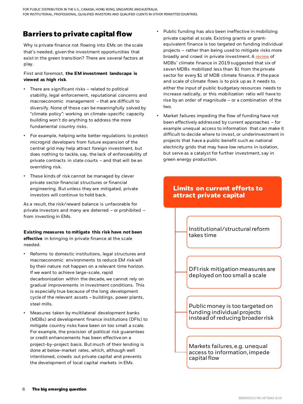#### **Barriers to private capital flow**

Why is private finance not flowing into EMs on the scale that's needed, given the investment opportunities that exist in the green transition? There are several factors at play.

#### First and foremost, **the EM investment landscape is viewed as high risk**.

- There are significant risks related to political stability, legal enforcement, reputational concerns and macroeconomic management – that are difficult to diversify. None of these can be meaningfully solved by "climate policy": working on climate-specific capacity building won't do anything to address the more fundamental country risks.
- For example, helping write better regulations to protect microgrid developers from future expansion of the central grid may help attract foreign investment, but does nothing to tackle, say, the lack of enforceability of private contracts in state courts – and that will be an overriding risk.
- These kinds of risk cannot be managed by clever private sector financial structures or financial engineering. But unless they are mitigated, private investors will continue to hold back.

As a result, the risk/reward balance is unfavorable for private investors and many are deterred – or prohibited – from investing in EMs.

#### **Existing measures to mitigate this risk have not been**

**effective** in bringing in private finance at the scale needed.

- Reforms to domestic institutions, legal structures and macroeconomic environments to reduce EM risk will by their nature not happen on a relevant time horizon. If we want to achieve large-scale, rapid decarbonization within the decade, we cannot rely on gradual improvements in investment conditions. This is especially true because of the long development cycle of the relevant assets – buildings, power plants, steel mills.
- Measures taken by multilateral development banks (MDBs) and development finance institutions (DFIs) to mitigate country risks have been on too small a scale. For example, the provision of political risk guarantees or credit enhancements has been effective on a project-by-project basis. But much of their lending is done at below-market rates, which, although well intentioned, crowds out private capital and prevents the development of local capital markets in EMs.
- Public funding has also been ineffective in mobilizing private capital at scale. Existing grants or grantequivalent finance is too targeted on funding individual projects – rather than being used to mitigate risks more broadly and crowd in private investment. A [review](https://publications.iadb.org/en/2019-joint-report-on-multilateral-development-banks-climate-finance) of MDBs' climate finance in 2019 suggested that six of seven MDBs mobilized less than \$1 from the private sector for every \$1 of MDB climate finance. If the pace and scale of climate flows is to pick up as it needs to, either the input of public budgetary resources needs to increase radically, or this mobilization ratio will have to rise by an order of magnitude – or a combination of the two.
- Market failures impeding the flow of funding have not been effectively addressed by current approaches – for example unequal access to information that can make it difficult to decide where to invest, or underinvestment in projects that have a public benefit such as national electricity grids that may have low returns in isolation, but serve as a catalyst for further investment, say in green energy production.

#### **Limits on current efforts to attract private capital**

Institutional/structural reform takes time

DFI risk mitigation measures are deployed on too small a scale

Public money is too targeted on funding individual projects instead of reducing broader risk

Markets failures, e.g. unequal access to information, impede capital flow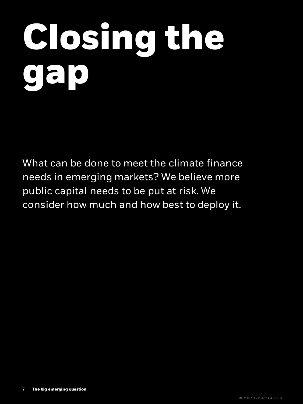# **Closing the gap**

What can be done to meet the climate finance needs in emerging markets? We believe more public capital needs to be put at risk. We consider how much and how best to deploy it.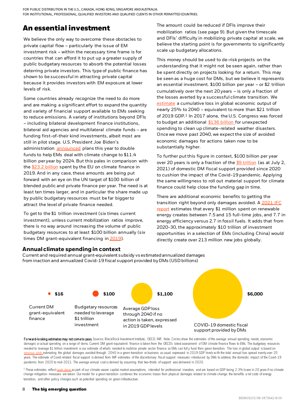#### **An essential investment**

We believe the only way to overcome these obstacles to private capital flow – particularly the issue of EM investment risk – within the necessary time frame is for countries that can afford it to put up a greater supply of public budgetary resources to absorb the potential losses deterring private investors. This type of public finance has shown to be successful in attracting private capital because it provides investors with EM exposure at lower levels of risk.

Some countries already recognize the need to do more and are making a significant effort to expand the quantity and variety of financial support available to EMs seeking to reduce emissions. A variety of institutions beyond DFIs – including bilateral development finance institutions, bilateral aid agencies and multilateral climate funds – are funding first-of-their kind investments, albeit most are still in pilot stage. U.S. President Joe Biden's administration **[announced](https://www.whitehouse.gov/briefing-room/speeches-remarks/2021/09/21/remarks-by-president-biden-before-the-76th-session-of-the-united-nations-general-assembly/)** plans this year to double funds to help EMs deal with climate change to \$11.4 billion per year by 2024. But this pales in comparison with the  $$23.2$  billion spent by the EU on climate finance in 2019. And in any case, these amounts are being put forward with an eye on the UN target of \$100 billion of blended public and private finance per year. The need is at least ten times larger, and in particular the share made up by public budgetary resources must be far bigger to attract the level of private finance needed.

To get to the \$1 trillion investment (six times current investment), unless current mobilization ratios improve, there is no way around increasing the volume of public budgetary resources to at least \$100 billion annually (six times DM grant-equivalent financing in [2019\)](https://www.oecd-ilibrary.org/sites/03590fb7-en/1/3/1/index.html?itemId=/content/publication/03590fb7-en&_csp_=b6cad02d0eb457a81fa094a9ec2d21cc&itemIGO=oecd&itemContentType=book#section-d1e898).

investment

**Annual climate spending in context**

The amount could be reduced if DFIs improve their mobilization ratios (see page 9). But given the timescale and DFIs' difficulty in mobilizing private capital at scale, we believe the starting point is for governments to significantly scale up budgetary allocations.

This money should be used to de-risk projects on the understanding that it might not be seen again, rather than be spent directly on projects looking for a return. This may be seen as a huge cost for DMs, but we believe it represents an essential investment. \$100 billion per year – or \$2 trillion cumulatively over the next 20 years – is only a fraction of the losses averted by a successful climate transition. We [estimate](https://www.blackrock.com/corporate/literature/whitepaper/bii-portfolio-perspectives-february-2021.pdf) a cumulative loss in global economic output of nearly 25% to 2040 – equivalent to more than \$21 trillion of 2019 GDP.<sup>1</sup> In 2017 alone, the U.S. Congress was forced to budget an additional [\\$136 billion f](https://sgp.fas.org/crs/homesec/R45084.pdf)or unexpected spending to clean up climate-related weather disasters. Once we move past 2040, we expect the size of avoided economic damages for actions taken now to be substantially higher.

To further put this figure in context, \$100 billion per year over 20 years is only a fraction of the [\\$9 trillion](https://www.imf.org/en/Topics/imf-and-covid19/Policy-Responses-to-COVID-19) (as at July 2, 2021) of domestic DM fiscal support provided since 2020 to cushion the impact of the Covid-19 pandemic. Applying the same willingness to roll out material support for climate finance could help close the funding gap in time.

There are additional economic benefits to getting the [transition right beyond only damages avoided. A 2021 IFC](https://www.ifc.org/wps/wcm/connect/26f79a1b-c191-494b-b2d9-c891e138bb37/IFC_GreenReport_FINAL_web_1-14-21.pdf?MOD=AJPERES&CVID=ns1JVaR)  report estimates that every \$1 million spent on renewable energy creates between 7.5 and 15 full-time jobs, and 7.7 in energy efficiency versus 2.7 in fossil fuels. It adds that from 2020-30, the approximately \$10 trillion of investment opportunities in a selection of EMs (including China) would directly create over 213 million new jobs globally.

> COVID-19 domestic fiscal support provided by DMs

#### **\$16 \$100 \$1,100 \$6,000** Current and required annual grant-equivalent subsidy vs estimated annualized damages from inaction and annualized Covid-19 fiscal support provided by DMs (USD billions) Average GDP loss through 2040 if no action is taken, expressed Budgetary resources needed to leverage \$1 trillion Current DM grant-equivalent finance

Forward-looking estimates may not come to pass. Sources: BlackRock Investment Institute, OECD, IMF. Note: Circles show the estimates of the average annual spending needs, economic damages or actual spending on a range of items. Current DM grant-equivalent finance is taken from the OECD's latest assessment of DM climate finance flows to EMs. The budgetary resources needed to leverage \$1 trillion investment is our estimate of what's needed to mobilize private sector finance so EMs can full y fund their green transition. The loss in global output is based on us work estimating the global damages avoided through 2040 in a green transition vs business as usual, expressed in 2019 GDP levels w ith the total annual loss spread evenly over 20 years. The estimate of Covid-related fiscal support is derived from IMF estimates of the discretionary fiscal support measures introduced by DMs to address the domestic impact of the Covid-19 pandemic from 2020 to mid-2021. The average annual cost is derived by assuming that two-thirds of support was delivered in 2020.

in 2019 GDP levels

<sup>1</sup> These estimates reflect [work done a](https://www.blackrock.com/corporate/literature/whitepaper/bii-portfolio-perspectives-february-2021.pdf)s part of our climate-aware capital market assumptions, intended for professional investors, and are based on GDP being 2.3% lower in 20 years if no climate change mitigation measures are taken. Our model for a green transition combines the economic losses from physical damages related to climate change, the benefits a nd costs of energy transition, and other policy changes such as potential spending on green infrastructure.

#### 8 **The big emerging question**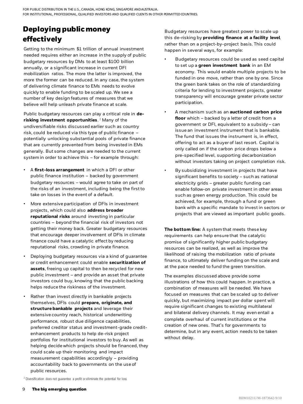#### **Deploying public money effectively**

Getting to the minimum \$1 trillion of annual investment needed requires either an increase in the supply of public budgetary resources by DMs to at least \$100 billion annually, or a significant increase in current DFI mobilization ratios. The more the latter is improved, the more the former can be reduced. In any case, the system of delivering climate finance to EMs needs to evolve quickly to enable funding to be scaled up. We see a number of key design features of measures that we believe will help unleash private finance at scale.

Public budgetary resources can play a critical role in **derisking investment opportunities**. <sup>2</sup> Many of the undiversifiable risks discussed earlier such as country risk, could be reduced via this type of public finance – potentially unlocking substantial pools of private finance that are currently prevented from being invested in EMs generally. But some changes are needed to the current system in order to achieve this – for example through:

- A **first-loss arrangement** in which a DFI or other public finance institution – backed by government budgetary resources – would agree to take on part of the risks of an investment, including being the first to take on losses in the event of a default.
- More extensive participation of DFIs in investment projects, which could also **address broader reputational risks** around investing in particular countries – beyond the financial risk of investors not getting their money back. Greater budgetary resources that encourage deeper involvement of DFIs in climate finance could have a catalytic effect by reducing reputational risks, crowding in private finance.
- Deploying budgetary resources via a kind of guarantee or credit enhancement could enable **securitization of assets**, freeing up capital to then be recycled for new public investment – and provide an asset that private investors could buy, knowing that the public backing helps reduce the riskiness of the investment.
- Rather than invest directly in bankable projects themselves, DFIs could **prepare, originate, and structure bankable projects** and leverage their extensive country reach, historical underwriting performance, robust due diligence capabilities, preferred creditor status and investment-grade creditenhancement products to help de-risk project portfolios for institutional investors to buy. As well as helping decide which projects should be financed, they could scale up their monitoring and impact measurement capabilities accordingly – providing accountability back to governments on the use of public resources.

Budgetary resources have greatest power to scale up this de-risking by **providing finance at a facility level**, rather than on a project-by-project basis. This could happen in several ways, for example:

- Budgetary resources could be used as seed capital to set up a **green investment bank** in an EM economy. This would enable multiple projects to be funded in one move, rather than one by one. Since the green bank takes on the role of standardizing criteria for lending to investment projects, greater transparency will encourage greater private sector participation.
- A mechanism such as an **auctioned carbon price floor** which – backed by a letter of credit from a government or DFI, equivalent to a subsidy – can issue an investment instrument that is bankable. The fund that issues the instrument is, in effect, offering to act as a buyer of last resort. Capital is only called on if the carbon price drops below a pre-specified level, supporting decarbonization without investors taking on project completion risk.
- By subsidizing investment in projects that have significant benefits to society – such as national electricity grids – greater public funding can enable follow-on private investment in other areas such as green energy production. This could be achieved, for example, through a fund or green bank with a specific mandate to invest in sectors or projects that are viewed as important public goods.

**The bottom line:** A system that meets these key requirements can help ensure that the catalytic promise of significantly higher public budgetary resources can be realized, as well as improve the likelihood of raising the mobilization ratio of private finance, to ultimately deliver funding on the scale and at the pace needed to fund the green transition.

The examples discussed above provide some illustrations of how this could happen. In practice, a combination of measures will be needed. We have focused on measures that can be scaled up to deliver quickly, but maximizing impact per dollar spent will require significant changes to existing multilateral and bilateral delivery channels. It may even entail a complete overhaul of current institutions or the creation of new ones. That's for governments to determine, but in any event, action needs to be taken without delay.

<sup>2</sup> Diversification does not guarantee a profit or eliminate the potential for loss.